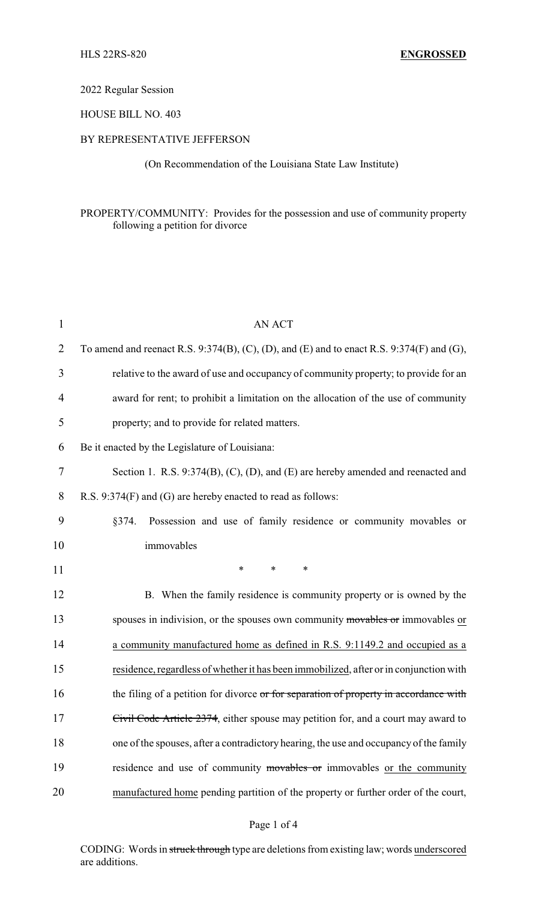# 2022 Regular Session

# HOUSE BILL NO. 403

## BY REPRESENTATIVE JEFFERSON

(On Recommendation of the Louisiana State Law Institute)

# PROPERTY/COMMUNITY: Provides for the possession and use of community property following a petition for divorce

| $\mathbf{1}$   | <b>AN ACT</b>                                                                             |
|----------------|-------------------------------------------------------------------------------------------|
| $\overline{2}$ | To amend and reenact R.S. 9:374(B), (C), (D), and (E) and to enact R.S. 9:374(F) and (G), |
| 3              | relative to the award of use and occupancy of community property; to provide for an       |
| 4              | award for rent; to prohibit a limitation on the allocation of the use of community        |
| 5              | property; and to provide for related matters.                                             |
| 6              | Be it enacted by the Legislature of Louisiana:                                            |
| 7              | Section 1. R.S. 9:374(B), (C), (D), and (E) are hereby amended and reenacted and          |
| 8              | R.S. 9:374(F) and (G) are hereby enacted to read as follows:                              |
| 9              | Possession and use of family residence or community movables or<br>§374.                  |
| 10             | immovables                                                                                |
| 11             | $\ast$<br>$\ast$<br>*                                                                     |
| 12             | B. When the family residence is community property or is owned by the                     |
| 13             | spouses in indivision, or the spouses own community movables or immovables or             |
| 14             | a community manufactured home as defined in R.S. 9:1149.2 and occupied as a               |
| 15             | residence, regardless of whether it has been immobilized, after or in conjunction with    |
| 16             | the filing of a petition for divorce or for separation of property in accordance with     |
| 17             | Civil Code Article 2374, either spouse may petition for, and a court may award to         |
| 18             | one of the spouses, after a contradictory hearing, the use and occupancy of the family    |
| 19             | residence and use of community movables or immovables or the community                    |
| 20             | manufactured home pending partition of the property or further order of the court,        |

### Page 1 of 4

CODING: Words in struck through type are deletions from existing law; words underscored are additions.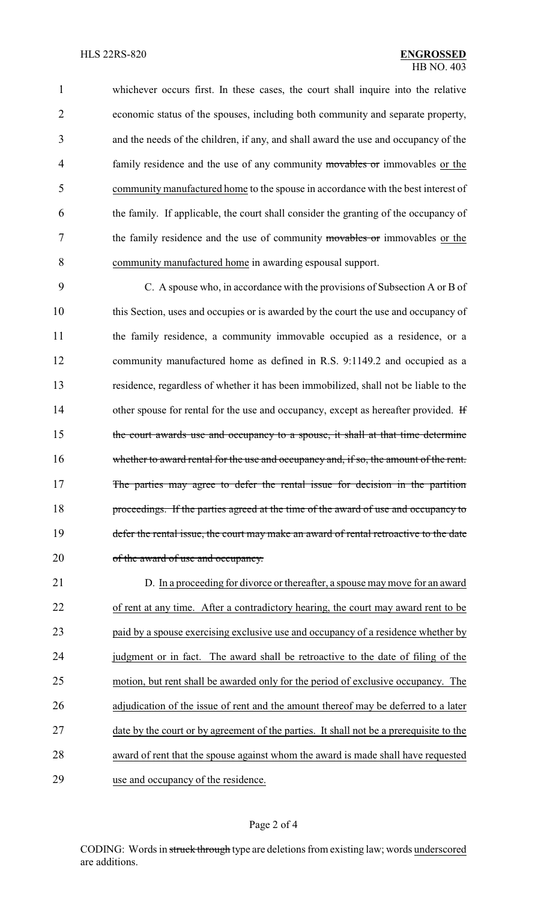whichever occurs first. In these cases, the court shall inquire into the relative economic status of the spouses, including both community and separate property, and the needs of the children, if any, and shall award the use and occupancy of the 4 family residence and the use of any community movables or immovables or the community manufactured home to the spouse in accordance with the best interest of the family. If applicable, the court shall consider the granting of the occupancy of 7 the family residence and the use of community movables or immovables or the community manufactured home in awarding espousal support.

9 C. A spouse who, in accordance with the provisions of Subsection A or B of 10 this Section, uses and occupies or is awarded by the court the use and occupancy of 11 the family residence, a community immovable occupied as a residence, or a 12 community manufactured home as defined in R.S. 9:1149.2 and occupied as a 13 residence, regardless of whether it has been immobilized, shall not be liable to the 14 other spouse for rental for the use and occupancy, except as hereafter provided. If 15 the court awards use and occupancy to a spouse, it shall at that time determine 16 whether to award rental for the use and occupancy and, if so, the amount of the rent. 17 The parties may agree to defer the rental issue for decision in the partition 18 proceedings. If the parties agreed at the time of the award of use and occupancy to 19 defer the rental issue, the court may make an award of rental retroactive to the date 20 of the award of use and occupancy.

 D. In a proceeding for divorce or thereafter, a spouse may move for an award of rent at any time. After a contradictory hearing, the court may award rent to be paid by a spouse exercising exclusive use and occupancy of a residence whether by 24 judgment or in fact. The award shall be retroactive to the date of filing of the motion, but rent shall be awarded only for the period of exclusive occupancy. The 26 adjudication of the issue of rent and the amount thereof may be deferred to a later 27 date by the court or by agreement of the parties. It shall not be a prerequisite to the award of rent that the spouse against whom the award is made shall have requested use and occupancy of the residence.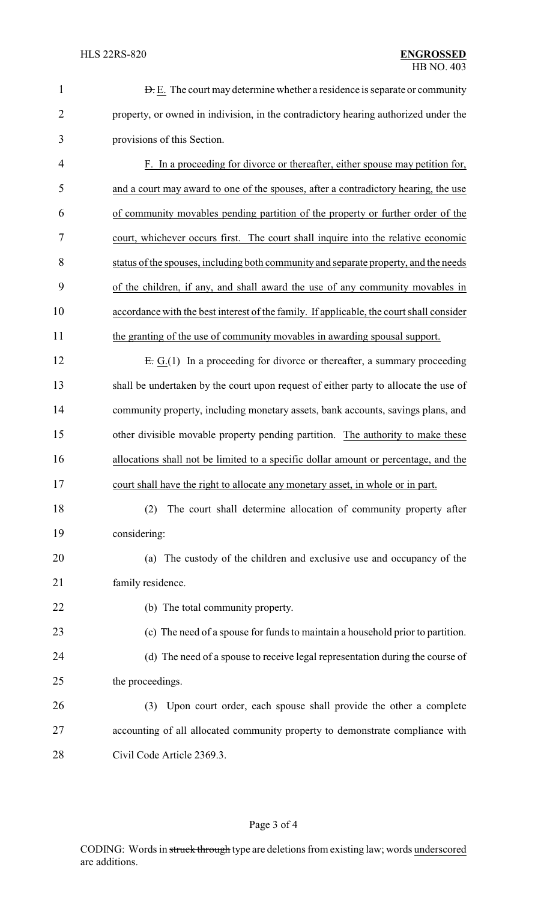| $\mathbf{1}$   | <b>D.</b> E. The court may determine whether a residence is separate or community        |
|----------------|------------------------------------------------------------------------------------------|
| $\overline{2}$ | property, or owned in indivision, in the contradictory hearing authorized under the      |
| 3              | provisions of this Section.                                                              |
| 4              | F. In a proceeding for divorce or thereafter, either spouse may petition for,            |
| 5              | and a court may award to one of the spouses, after a contradictory hearing, the use      |
| 6              | of community movables pending partition of the property or further order of the          |
| 7              | court, whichever occurs first. The court shall inquire into the relative economic        |
| 8              | status of the spouses, including both community and separate property, and the needs     |
| 9              | of the children, if any, and shall award the use of any community movables in            |
| 10             | accordance with the best interest of the family. If applicable, the court shall consider |
| 11             | the granting of the use of community movables in awarding spousal support.               |
| 12             | $E: G(1)$ In a proceeding for divorce or thereafter, a summary proceeding                |
| 13             | shall be undertaken by the court upon request of either party to allocate the use of     |
| 14             | community property, including monetary assets, bank accounts, savings plans, and         |
| 15             | other divisible movable property pending partition. The authority to make these          |
| 16             | allocations shall not be limited to a specific dollar amount or percentage, and the      |
| 17             | court shall have the right to allocate any monetary asset, in whole or in part.          |
| 18             | The court shall determine allocation of community property after<br>(2)                  |
| 19             | considering:                                                                             |
| 20             | (a) The custody of the children and exclusive use and occupancy of the                   |
| 21             | family residence.                                                                        |
| 22             | (b) The total community property.                                                        |
| 23             | (c) The need of a spouse for funds to maintain a household prior to partition.           |
| 24             | (d) The need of a spouse to receive legal representation during the course of            |
| 25             | the proceedings.                                                                         |
| 26             | (3) Upon court order, each spouse shall provide the other a complete                     |
| 27             | accounting of all allocated community property to demonstrate compliance with            |
| 28             | Civil Code Article 2369.3.                                                               |